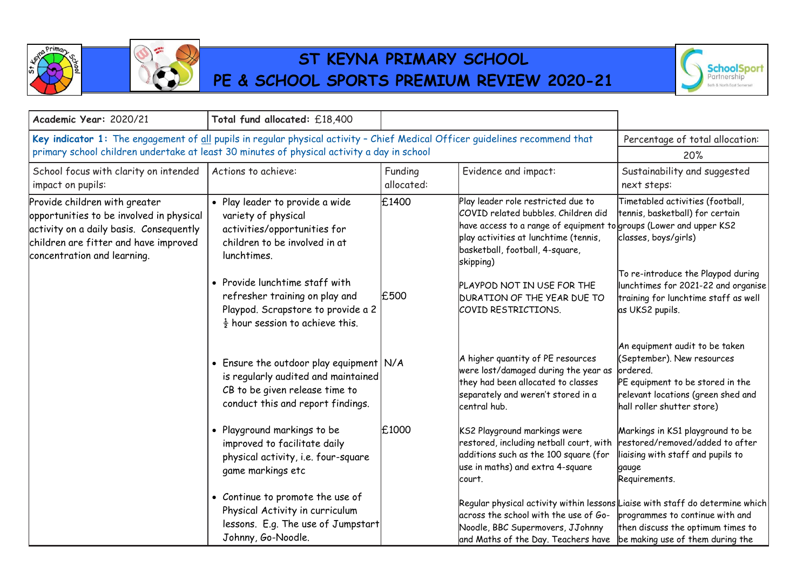

一  $\infty$ 

## **ST KEYNA PRIMARY SCHOOL PE & SCHOOL SPORTS PREMIUM REVIEW 2020-21**



| Academic Year: 2020/21                                                                                                                                                                                                     | Total fund allocated: £18,400                                                                                                                         |                       |                                                                                                                                                                                                                                          |                                                                                                                                                                                  |
|----------------------------------------------------------------------------------------------------------------------------------------------------------------------------------------------------------------------------|-------------------------------------------------------------------------------------------------------------------------------------------------------|-----------------------|------------------------------------------------------------------------------------------------------------------------------------------------------------------------------------------------------------------------------------------|----------------------------------------------------------------------------------------------------------------------------------------------------------------------------------|
| Key indicator 1: The engagement of all pupils in regular physical activity - Chief Medical Officer guidelines recommend that<br>primary school children undertake at least 30 minutes of physical activity a day in school |                                                                                                                                                       |                       | Percentage of total allocation:<br>20%                                                                                                                                                                                                   |                                                                                                                                                                                  |
| School focus with clarity on intended<br>impact on pupils:                                                                                                                                                                 | Actions to achieve:                                                                                                                                   | Funding<br>allocated: | Evidence and impact:                                                                                                                                                                                                                     | Sustainability and suggested<br>next steps:                                                                                                                                      |
| Provide children with greater<br>opportunities to be involved in physical<br>activity on a daily basis. Consequently<br>children are fitter and have improved<br>concentration and learning.                               | · Play leader to provide a wide<br>variety of physical<br>activities/opportunities for<br>children to be involved in at<br>lunchtimes.                | £1400                 | Play leader role restricted due to<br>COVID related bubbles, Children did<br>have access to a range of equipment to groups (Lower and upper KS2<br>play activities at lunchtime (tennis,<br>basketball, football, 4-square,<br>skipping) | Timetabled activities (football,<br>tennis, basketball) for certain<br>classes, boys/girls)                                                                                      |
|                                                                                                                                                                                                                            | • Provide lunchtime staff with<br>refresher training on play and<br>Playpod. Scrapstore to provide a 2<br>$\frac{1}{2}$ hour session to achieve this. | £500                  | PLAYPOD NOT IN USE FOR THE<br><b>DURATION OF THE YEAR DUE TO</b><br>COVID RESTRICTIONS.                                                                                                                                                  | To re-introduce the Playpod during<br>lunchtimes for 2021-22 and organise<br>training for lunchtime staff as well<br>as UKS2 pupils.                                             |
|                                                                                                                                                                                                                            | • Ensure the outdoor play equipment N/A<br>is regularly audited and maintained<br>CB to be given release time to<br>conduct this and report findings. |                       | A higher quantity of PE resources<br>were lost/damaged during the year as<br>they had been allocated to classes<br>separately and weren't stored in a<br>central hub.                                                                    | An equipment audit to be taken<br>(September). New resources<br>ordered.<br>PE equipment to be stored in the<br>relevant locations (green shed and<br>hall roller shutter store) |
|                                                                                                                                                                                                                            | • Playground markings to be<br>improved to facilitate daily<br>physical activity, i.e. four-square<br>game markings etc                               | £1000                 | KS2 Playground markings were<br>restored, including netball court, with<br>additions such as the 100 square (for<br>use in maths) and extra 4-square<br>lcourt.                                                                          | Markings in KS1 playground to be<br>restored/removed/added to after<br>liaising with staff and pupils to<br>gauge<br>Requirements.                                               |
|                                                                                                                                                                                                                            | • Continue to promote the use of<br>Physical Activity in curriculum<br>lessons. E.g. The use of Jumpstart<br>Johnny, Go-Noodle.                       |                       | Regular physical activity within lessons Liaise with staff do determine which<br>across the school with the use of Go-<br>Noodle, BBC Supermovers, JJohnny<br>and Maths of the Day. Teachers have   be making use of them during the     | programmes to continue with and<br>then discuss the optimum times to                                                                                                             |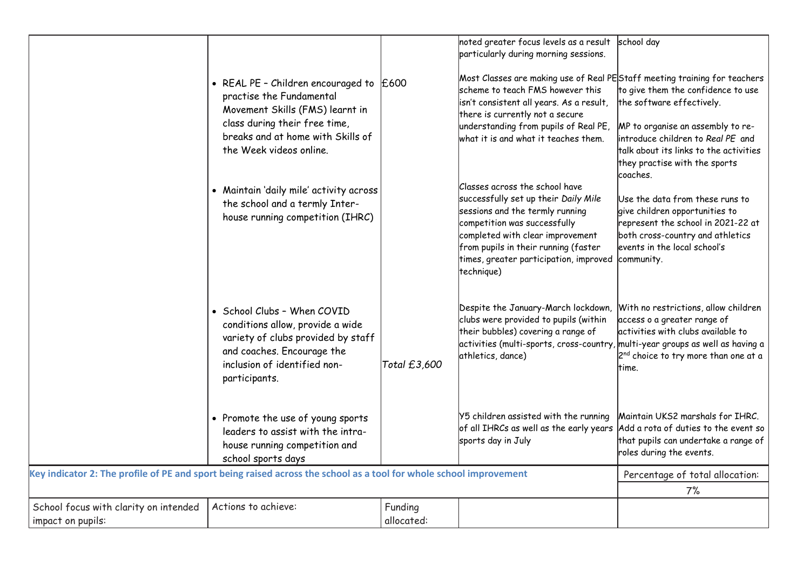|                                                                                                                    |                                                                                                                                                                                                            |                       | noted greater focus levels as a result<br>particularly during morning sessions.                                                                                                                                                                                               | school day                                                                                                                                                                                                                       |
|--------------------------------------------------------------------------------------------------------------------|------------------------------------------------------------------------------------------------------------------------------------------------------------------------------------------------------------|-----------------------|-------------------------------------------------------------------------------------------------------------------------------------------------------------------------------------------------------------------------------------------------------------------------------|----------------------------------------------------------------------------------------------------------------------------------------------------------------------------------------------------------------------------------|
|                                                                                                                    | • REAL PE - Children encouraged to $E$ 600<br>practise the Fundamental<br>Movement Skills (FMS) learnt in<br>class during their free time,<br>breaks and at home with Skills of<br>the Week videos online. |                       | Most Classes are making use of Real PEStaff meeting training for teachers<br>scheme to teach FMS however this<br>isn't consistent all years. As a result,<br>there is currently not a secure<br>understanding from pupils of Real PE,<br>what it is and what it teaches them. | to give them the confidence to use<br>the software effectively.<br>MP to organise an assembly to re-<br>introduce children to Real PE and<br>talk about its links to the activities<br>they practise with the sports<br>coaches. |
|                                                                                                                    | • Maintain 'daily mile' activity across<br>the school and a termly Inter-<br>house running competition (IHRC)                                                                                              |                       | Classes across the school have<br>successfully set up their Daily Mile<br>sessions and the termly running<br>competition was successfully<br>completed with clear improvement<br>from pupils in their running (faster<br>times, greater participation, improved<br>technique) | Use the data from these runs to<br>give children opportunities to<br>represent the school in 2021-22 at<br>both cross-country and athletics<br>events in the local school's<br>community.                                        |
|                                                                                                                    | • School Clubs - When COVID<br>conditions allow, provide a wide<br>variety of clubs provided by staff<br>and coaches. Encourage the<br>inclusion of identified non-<br>participants.                       | Total £3,600          | Despite the January-March lockdown,<br>clubs were provided to pupils (within<br>their bubbles) covering a range of<br>activities (multi-sports, cross-country, multi-year groups as well as having a<br>athletics, dance)                                                     | With no restrictions, allow children<br>access o a greater range of<br>activities with clubs available to<br>2 <sup>nd</sup> choice to try more than one at a<br>ltime.                                                          |
|                                                                                                                    | • Promote the use of young sports<br>leaders to assist with the intra-<br>house running competition and<br>school sports days                                                                              |                       | Y5 children assisted with the running<br>of all IHRCs as well as the early years Add a rota of duties to the event so<br>sports day in July                                                                                                                                   | Maintain UKS2 marshals for IHRC.<br>that pupils can undertake a range of<br>roles during the events.                                                                                                                             |
| Key indicator 2: The profile of PE and sport being raised across the school as a tool for whole school improvement |                                                                                                                                                                                                            |                       |                                                                                                                                                                                                                                                                               | Percentage of total allocation:                                                                                                                                                                                                  |
|                                                                                                                    |                                                                                                                                                                                                            |                       |                                                                                                                                                                                                                                                                               | 7%                                                                                                                                                                                                                               |
| School focus with clarity on intended<br>impact on pupils:                                                         | Actions to achieve:                                                                                                                                                                                        | Funding<br>allocated: |                                                                                                                                                                                                                                                                               |                                                                                                                                                                                                                                  |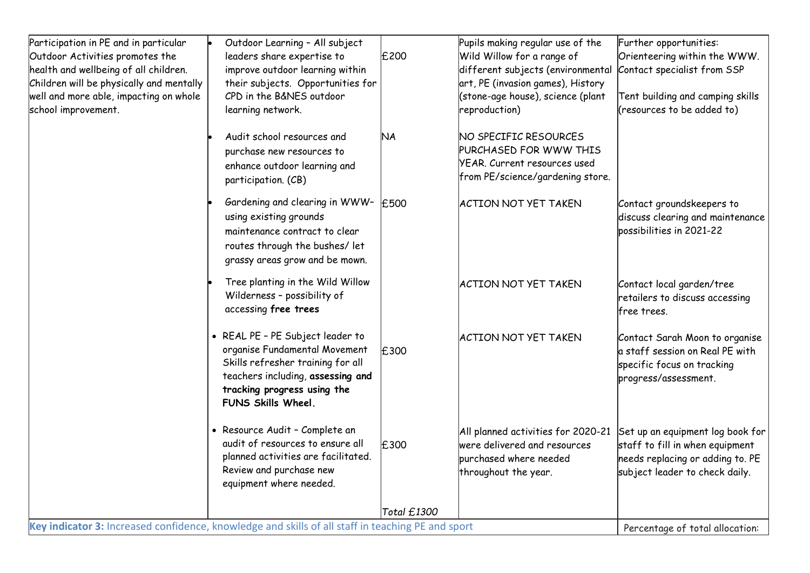| Participation in PE and in particular<br>Outdoor Activities promotes the<br>health and wellbeing of all children.<br>Children will be physically and mentally<br>well and more able, impacting on whole<br>school improvement. | Outdoor Learning - All subject<br>leaders share expertise to<br>improve outdoor learning within<br>their subjects. Opportunities for<br>CPD in the B&NES outdoor<br>learning network.            | £200        | Pupils making regular use of the<br>Wild Willow for a range of<br>different subjects (environmental<br>art, PE (invasion games), History<br>(stone-age house), science (plant<br>reproduction) | Further opportunities:<br>Orienteering within the WWW.<br>Contact specialist from SSP<br>Tent building and camping skills<br>(resources to be added to) |
|--------------------------------------------------------------------------------------------------------------------------------------------------------------------------------------------------------------------------------|--------------------------------------------------------------------------------------------------------------------------------------------------------------------------------------------------|-------------|------------------------------------------------------------------------------------------------------------------------------------------------------------------------------------------------|---------------------------------------------------------------------------------------------------------------------------------------------------------|
|                                                                                                                                                                                                                                | Audit school resources and<br>purchase new resources to<br>enhance outdoor learning and<br>participation. (CB)                                                                                   | 'NА         | NO SPECIFIC RESOURCES<br>PURCHASED FOR WWW THIS<br><b>YEAR, Current resources used</b><br>from PE/science/gardening store.                                                                     |                                                                                                                                                         |
|                                                                                                                                                                                                                                | Gardening and clearing in WWW-<br>using existing grounds<br>maintenance contract to clear<br>routes through the bushes/ let<br>grassy areas grow and be mown.                                    | £500        | <b>ACTION NOT YET TAKEN</b>                                                                                                                                                                    | Contact groundskeepers to<br>discuss clearing and maintenance<br>possibilities in 2021-22                                                               |
|                                                                                                                                                                                                                                | Tree planting in the Wild Willow<br>Wilderness - possibility of<br>accessing free trees                                                                                                          |             | <b>ACTION NOT YET TAKEN</b>                                                                                                                                                                    | Contact local garden/tree<br>retailers to discuss accessing<br>free trees.                                                                              |
|                                                                                                                                                                                                                                | • REAL PE - PE Subject leader to<br>organise Fundamental Movement<br>Skills refresher training for all<br>teachers including, assessing and<br>tracking progress using the<br>FUNS Skills Wheel. | £300        | <b>ACTION NOT YET TAKEN</b>                                                                                                                                                                    | Contact Sarah Moon to organise<br>a staff session on Real PE with<br>specific focus on tracking<br>progress/assessment.                                 |
|                                                                                                                                                                                                                                | • Resource Audit - Complete an<br>audit of resources to ensure all<br>planned activities are facilitated.<br>Review and purchase new<br>equipment where needed.                                  | £300        | All planned activities for 2020-21<br>were delivered and resources<br>purchased where needed<br>throughout the year.                                                                           | Set up an equipment log book for<br>staff to fill in when equipment<br>needs replacing or adding to. PE<br>subject leader to check daily.               |
|                                                                                                                                                                                                                                |                                                                                                                                                                                                  | Total £1300 |                                                                                                                                                                                                |                                                                                                                                                         |
| Key indicator 3: Increased confidence, knowledge and skills of all staff in teaching PE and sport                                                                                                                              |                                                                                                                                                                                                  |             |                                                                                                                                                                                                | Percentage of total allocation:                                                                                                                         |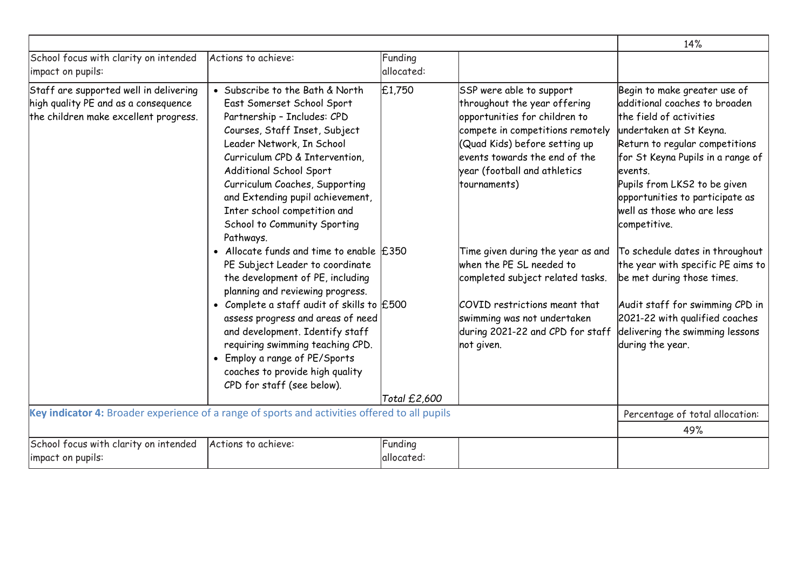|                                                                                                                         |                                                                                                                                                                                                                                                                                                                                                                            |                       |                                                                                                                                                                                                                                                 | 14%                                                                                                                                                                                                                                                                                                                     |
|-------------------------------------------------------------------------------------------------------------------------|----------------------------------------------------------------------------------------------------------------------------------------------------------------------------------------------------------------------------------------------------------------------------------------------------------------------------------------------------------------------------|-----------------------|-------------------------------------------------------------------------------------------------------------------------------------------------------------------------------------------------------------------------------------------------|-------------------------------------------------------------------------------------------------------------------------------------------------------------------------------------------------------------------------------------------------------------------------------------------------------------------------|
| School focus with clarity on intended<br>impact on pupils:                                                              | Actions to achieve:                                                                                                                                                                                                                                                                                                                                                        | Funding<br>allocated: |                                                                                                                                                                                                                                                 |                                                                                                                                                                                                                                                                                                                         |
| Staff are supported well in delivering<br>high quality PE and as a consequence<br>the children make excellent progress. | • Subscribe to the Bath & North<br>East Somerset School Sport<br>Partnership - Includes: CPD<br>Courses, Staff Inset, Subject<br>Leader Network, In School<br>Curriculum CPD & Intervention,<br>Additional School Sport<br>Curriculum Coaches, Supporting<br>and Extending pupil achievement,<br>Inter school competition and<br>School to Community Sporting<br>Pathways. | £1,750                | SSP were able to support<br>throughout the year offering<br>opportunities for children to<br>compete in competitions remotely<br>(Quad Kids) before setting up<br>events towards the end of the<br>year (football and athletics<br>tournaments) | Begin to make greater use of<br>additional coaches to broaden<br>the field of activities<br>undertaken at St Keyna.<br>Return to regular competitions<br>for St Keyna Pupils in a range of<br>levents.<br>Pupils from LKS2 to be given<br>opportunities to participate as<br>well as those who are less<br>competitive. |
|                                                                                                                         | • Allocate funds and time to enable $E350$<br>PE Subject Leader to coordinate<br>the development of PE, including<br>planning and reviewing progress.                                                                                                                                                                                                                      |                       | Time given during the year as and<br>when the PE SL needed to<br>completed subject related tasks.                                                                                                                                               | To schedule dates in throughout<br>the year with specific PE aims to<br>be met during those times.                                                                                                                                                                                                                      |
|                                                                                                                         | • Complete a staff audit of skills to $E$ 500<br>assess progress and areas of need<br>and development. Identify staff<br>requiring swimming teaching CPD.<br>• Employ a range of PE/Sports<br>coaches to provide high quality<br>CPD for staff (see below).                                                                                                                |                       | COVID restrictions meant that<br>swimming was not undertaken<br>during 2021-22 and CPD for staff<br>not given.                                                                                                                                  | Audit staff for swimming CPD in<br>2021-22 with qualified coaches<br>delivering the swimming lessons<br>during the year.                                                                                                                                                                                                |
|                                                                                                                         |                                                                                                                                                                                                                                                                                                                                                                            | Total £2,600          |                                                                                                                                                                                                                                                 |                                                                                                                                                                                                                                                                                                                         |
|                                                                                                                         | Key indicator 4: Broader experience of a range of sports and activities offered to all pupils                                                                                                                                                                                                                                                                              |                       |                                                                                                                                                                                                                                                 | Percentage of total allocation:                                                                                                                                                                                                                                                                                         |
|                                                                                                                         |                                                                                                                                                                                                                                                                                                                                                                            |                       |                                                                                                                                                                                                                                                 | 49%                                                                                                                                                                                                                                                                                                                     |
| School focus with clarity on intended<br>impact on pupils:                                                              | Actions to achieve:                                                                                                                                                                                                                                                                                                                                                        | Funding<br>allocated: |                                                                                                                                                                                                                                                 |                                                                                                                                                                                                                                                                                                                         |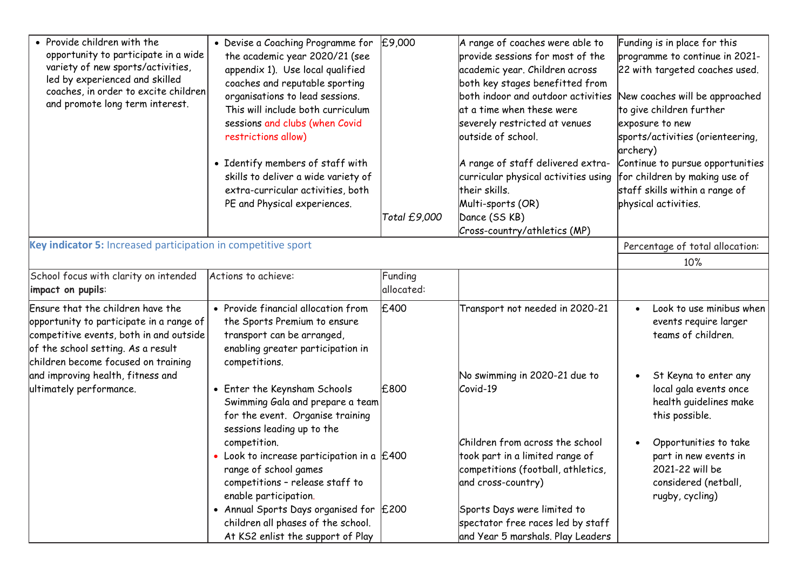| • Provide children with the<br>opportunity to participate in a wide<br>variety of new sports/activities,<br>led by experienced and skilled<br>coaches, in order to excite children<br>and promote long term interest. | • Devise a Coaching Programme for<br>the academic year 2020/21 (see<br>appendix 1). Use local qualified<br>coaches and reputable sporting<br>organisations to lead sessions.<br>This will include both curriculum<br>sessions and clubs (when Covid<br>restrictions allow)<br>• Identify members of staff with<br>skills to deliver a wide variety of<br>extra-curricular activities, both<br>PE and Physical experiences. | £9,000                | A range of coaches were able to<br>provide sessions for most of the<br>academic year. Children across<br>both key stages benefitted from<br>both indoor and outdoor activities<br>at a time when these were<br>severely restricted at venues<br>outside of school.<br>A range of staff delivered extra-<br>curricular physical activities using<br>their skills.<br>Multi-sports (OR) | Funding is in place for this<br>programme to continue in 2021-<br>22 with targeted coaches used.<br>New coaches will be approached<br>to give children further<br>exposure to new<br>sports/activities (orienteering,<br>archery)<br>Continue to pursue opportunities<br>for children by making use of<br>staff skills within a range of<br>physical activities. |
|-----------------------------------------------------------------------------------------------------------------------------------------------------------------------------------------------------------------------|----------------------------------------------------------------------------------------------------------------------------------------------------------------------------------------------------------------------------------------------------------------------------------------------------------------------------------------------------------------------------------------------------------------------------|-----------------------|---------------------------------------------------------------------------------------------------------------------------------------------------------------------------------------------------------------------------------------------------------------------------------------------------------------------------------------------------------------------------------------|------------------------------------------------------------------------------------------------------------------------------------------------------------------------------------------------------------------------------------------------------------------------------------------------------------------------------------------------------------------|
|                                                                                                                                                                                                                       |                                                                                                                                                                                                                                                                                                                                                                                                                            | Total £9,000          | Dance (SS KB)<br>Cross-country/athletics (MP)                                                                                                                                                                                                                                                                                                                                         |                                                                                                                                                                                                                                                                                                                                                                  |
| Key indicator 5: Increased participation in competitive sport                                                                                                                                                         |                                                                                                                                                                                                                                                                                                                                                                                                                            |                       |                                                                                                                                                                                                                                                                                                                                                                                       | Percentage of total allocation:                                                                                                                                                                                                                                                                                                                                  |
|                                                                                                                                                                                                                       |                                                                                                                                                                                                                                                                                                                                                                                                                            |                       |                                                                                                                                                                                                                                                                                                                                                                                       | 10%                                                                                                                                                                                                                                                                                                                                                              |
| School focus with clarity on intended<br>impact on pupils:                                                                                                                                                            | Actions to achieve:                                                                                                                                                                                                                                                                                                                                                                                                        | Funding<br>allocated: |                                                                                                                                                                                                                                                                                                                                                                                       |                                                                                                                                                                                                                                                                                                                                                                  |
| Ensure that the children have the<br>opportunity to participate in a range of<br>competitive events, both in and outside<br>of the school setting. As a result<br>children become focused on training                 | • Provide financial allocation from<br>the Sports Premium to ensure<br>transport can be arranged,<br>enabling greater participation in<br>competitions.                                                                                                                                                                                                                                                                    | £400                  | Transport not needed in 2020-21                                                                                                                                                                                                                                                                                                                                                       | Look to use minibus when<br>$\bullet$<br>events require larger<br>teams of children.                                                                                                                                                                                                                                                                             |
| and improving health, fitness and<br>ultimately performance.                                                                                                                                                          | • Enter the Keynsham Schools<br>Swimming Gala and prepare a team<br>for the event. Organise training<br>sessions leading up to the                                                                                                                                                                                                                                                                                         | £800                  | No swimming in 2020-21 due to<br>Covid-19                                                                                                                                                                                                                                                                                                                                             | St Keyna to enter any<br>$\bullet$<br>local gala events once<br>health guidelines make<br>this possible.                                                                                                                                                                                                                                                         |
|                                                                                                                                                                                                                       | competition.<br>• Look to increase participation in a $\vert$ £400<br>range of school games<br>competitions - release staff to<br>enable participation.<br>• Annual Sports Days organised for $E$ 200<br>children all phases of the school.<br>At KS2 enlist the support of Play                                                                                                                                           |                       | Children from across the school<br>took part in a limited range of<br>competitions (football, athletics,<br>and cross-country)<br>Sports Days were limited to<br>spectator free races led by staff<br>and Year 5 marshals. Play Leaders                                                                                                                                               | Opportunities to take<br>part in new events in<br>2021-22 will be<br>considered (netball,<br>rugby, cycling)                                                                                                                                                                                                                                                     |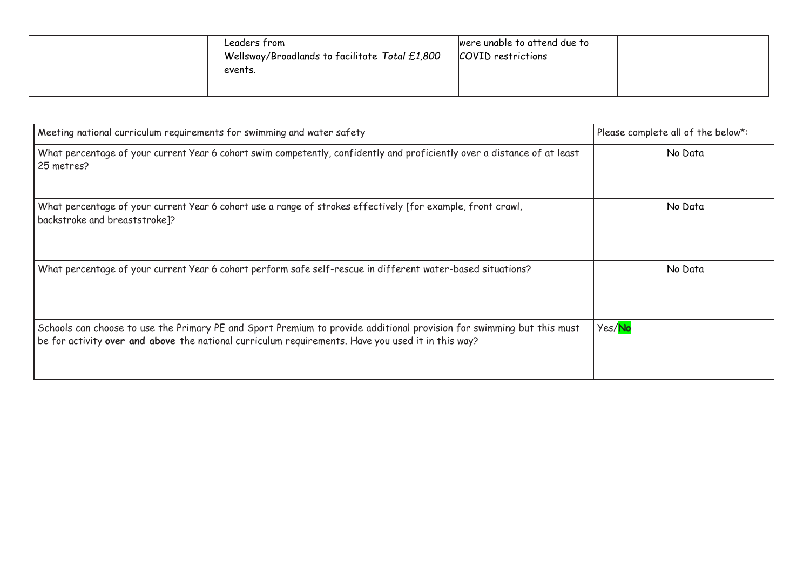| Leaders from<br>Wellsway/Broadlands to facilitate Total £1,800<br>events. | were unable to attend due to<br>COVID restrictions |
|---------------------------------------------------------------------------|----------------------------------------------------|
|---------------------------------------------------------------------------|----------------------------------------------------|

| Meeting national curriculum requirements for swimming and water safety                                                                                                                                                      | Please complete all of the below*: |
|-----------------------------------------------------------------------------------------------------------------------------------------------------------------------------------------------------------------------------|------------------------------------|
| What percentage of your current Year 6 cohort swim competently, confidently and proficiently over a distance of at least<br>25 metres?                                                                                      | No Data                            |
| What percentage of your current Year 6 cohort use a range of strokes effectively [for example, front crawl,<br>backstroke and breaststroke]?                                                                                | No Data                            |
| What percentage of your current Year 6 cohort perform safe self-rescue in different water-based situations?                                                                                                                 | No Data                            |
| Schools can choose to use the Primary PE and Sport Premium to provide additional provision for swimming but this must<br>be for activity over and above the national curriculum requirements. Have you used it in this way? | Yes/No                             |